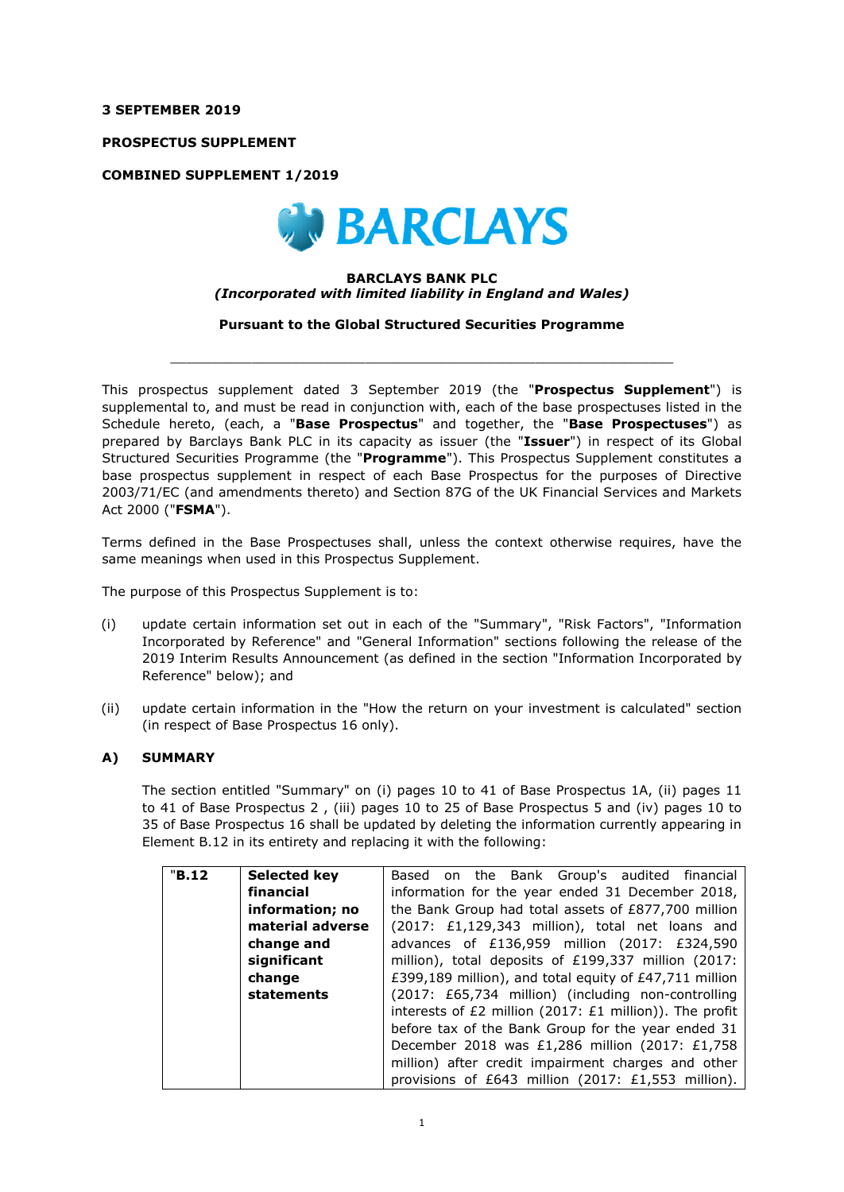**3 SEPTEMBER 2019** 

**PROSPECTUS SUPPLEMENT** 

**COMBINED SUPPLEMENT 1/2019** 



## **BARCLAYS BANK PLC**  *(Incorporated with limited liability in England and Wales)*

**Pursuant to the Global Structured Securities Programme** 

 $\_$  ,  $\_$  ,  $\_$  ,  $\_$  ,  $\_$  ,  $\_$  ,  $\_$  ,  $\_$  ,  $\_$  ,  $\_$  ,  $\_$  ,  $\_$  ,  $\_$  ,  $\_$  ,  $\_$  ,  $\_$  ,  $\_$  ,  $\_$  ,  $\_$ 

This prospectus supplement dated 3 September 2019 (the "**Prospectus Supplement**") is supplemental to, and must be read in conjunction with, each of the base prospectuses listed in the Schedule hereto, (each, a "**Base Prospectus**" and together, the "**Base Prospectuses**") as prepared by Barclays Bank PLC in its capacity as issuer (the "**Issuer**") in respect of its Global Structured Securities Programme (the "**Programme**"). This Prospectus Supplement constitutes a base prospectus supplement in respect of each Base Prospectus for the purposes of Directive 2003/71/EC (and amendments thereto) and Section 87G of the UK Financial Services and Markets Act 2000 ("**FSMA**").

Terms defined in the Base Prospectuses shall, unless the context otherwise requires, have the same meanings when used in this Prospectus Supplement.

The purpose of this Prospectus Supplement is to:

- (i) update certain information set out in each of the "Summary", "Risk Factors", "Information Incorporated by Reference" and "General Information" sections following the release of the 2019 Interim Results Announcement (as defined in the section "Information Incorporated by Reference" below); and
- (ii) update certain information in the "How the return on your investment is calculated" section (in respect of Base Prospectus 16 only).

## **A) SUMMARY**

The section entitled "Summary" on (i) pages 10 to 41 of Base Prospectus 1A, (ii) pages 11 to 41 of Base Prospectus 2 , (iii) pages 10 to 25 of Base Prospectus 5 and (iv) pages 10 to 35 of Base Prospectus 16 shall be updated by deleting the information currently appearing in Element B.12 in its entirety and replacing it with the following:

| "B.12 | Selected key     | Based on the Bank Group's audited financial                                                                                                                                                                                                                                                                                 |  |  |
|-------|------------------|-----------------------------------------------------------------------------------------------------------------------------------------------------------------------------------------------------------------------------------------------------------------------------------------------------------------------------|--|--|
|       | financial        | information for the year ended 31 December 2018,<br>the Bank Group had total assets of £877,700 million<br>(2017: £1,129,343 million), total net loans and<br>advances of £136,959 million (2017: £324,590<br>million), total deposits of £199,337 million (2017:<br>£399,189 million), and total equity of £47,711 million |  |  |
|       | information; no  |                                                                                                                                                                                                                                                                                                                             |  |  |
|       | material adverse |                                                                                                                                                                                                                                                                                                                             |  |  |
|       | change and       |                                                                                                                                                                                                                                                                                                                             |  |  |
|       | significant      |                                                                                                                                                                                                                                                                                                                             |  |  |
|       | change           |                                                                                                                                                                                                                                                                                                                             |  |  |
|       | statements       | (2017: £65,734 million) (including non-controlling                                                                                                                                                                                                                                                                          |  |  |
|       |                  | interests of $E2$ million (2017: $E1$ million)). The profit                                                                                                                                                                                                                                                                 |  |  |
|       |                  | before tax of the Bank Group for the year ended 31                                                                                                                                                                                                                                                                          |  |  |
|       |                  | December 2018 was £1,286 million (2017: £1,758                                                                                                                                                                                                                                                                              |  |  |
|       |                  | million) after credit impairment charges and other                                                                                                                                                                                                                                                                          |  |  |
|       |                  | provisions of £643 million (2017: £1,553 million).                                                                                                                                                                                                                                                                          |  |  |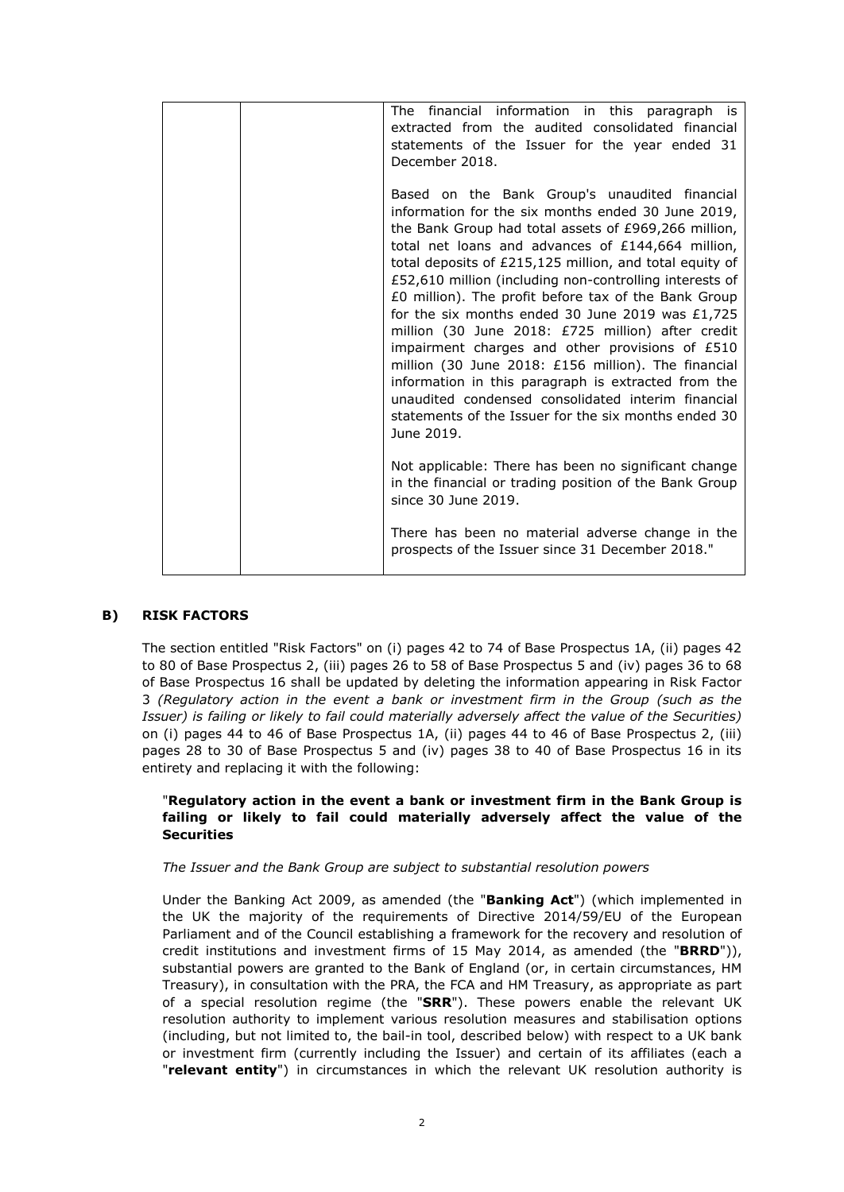| The financial information in this paragraph is<br>extracted from the audited consolidated financial<br>statements of the Issuer for the year ended 31<br>December 2018.                                                                                                                                                                                                                                                                                                                                                                                                                                                                                                                                                                                                                                |
|--------------------------------------------------------------------------------------------------------------------------------------------------------------------------------------------------------------------------------------------------------------------------------------------------------------------------------------------------------------------------------------------------------------------------------------------------------------------------------------------------------------------------------------------------------------------------------------------------------------------------------------------------------------------------------------------------------------------------------------------------------------------------------------------------------|
| Based on the Bank Group's unaudited financial<br>information for the six months ended 30 June 2019,<br>the Bank Group had total assets of £969,266 million,<br>total net loans and advances of £144,664 million,<br>total deposits of £215,125 million, and total equity of<br>£52,610 million (including non-controlling interests of<br>£0 million). The profit before tax of the Bank Group<br>for the six months ended 30 June 2019 was $£1,725$<br>million (30 June 2018: £725 million) after credit<br>impairment charges and other provisions of £510<br>million (30 June 2018: £156 million). The financial<br>information in this paragraph is extracted from the<br>unaudited condensed consolidated interim financial<br>statements of the Issuer for the six months ended 30<br>June 2019. |
| Not applicable: There has been no significant change<br>in the financial or trading position of the Bank Group<br>since 30 June 2019.                                                                                                                                                                                                                                                                                                                                                                                                                                                                                                                                                                                                                                                                  |
| There has been no material adverse change in the<br>prospects of the Issuer since 31 December 2018."                                                                                                                                                                                                                                                                                                                                                                                                                                                                                                                                                                                                                                                                                                   |

## **B) RISK FACTORS**

The section entitled "Risk Factors" on (i) pages 42 to 74 of Base Prospectus 1A, (ii) pages 42 to 80 of Base Prospectus 2, (iii) pages 26 to 58 of Base Prospectus 5 and (iv) pages 36 to 68 of Base Prospectus 16 shall be updated by deleting the information appearing in Risk Factor 3 *(Regulatory action in the event a bank or investment firm in the Group (such as the Issuer) is failing or likely to fail could materially adversely affect the value of the Securities)* on (i) pages 44 to 46 of Base Prospectus 1A, (ii) pages 44 to 46 of Base Prospectus 2, (iii) pages 28 to 30 of Base Prospectus 5 and (iv) pages 38 to 40 of Base Prospectus 16 in its entirety and replacing it with the following:

## "**Regulatory action in the event a bank or investment firm in the Bank Group is failing or likely to fail could materially adversely affect the value of the Securities**

## *The Issuer and the Bank Group are subject to substantial resolution powers*

Under the Banking Act 2009, as amended (the "**Banking Act**") (which implemented in the UK the majority of the requirements of Directive 2014/59/EU of the European Parliament and of the Council establishing a framework for the recovery and resolution of credit institutions and investment firms of 15 May 2014, as amended (the "**BRRD**")), substantial powers are granted to the Bank of England (or, in certain circumstances, HM Treasury), in consultation with the PRA, the FCA and HM Treasury, as appropriate as part of a special resolution regime (the "**SRR**"). These powers enable the relevant UK resolution authority to implement various resolution measures and stabilisation options (including, but not limited to, the bail-in tool, described below) with respect to a UK bank or investment firm (currently including the Issuer) and certain of its affiliates (each a "**relevant entity**") in circumstances in which the relevant UK resolution authority is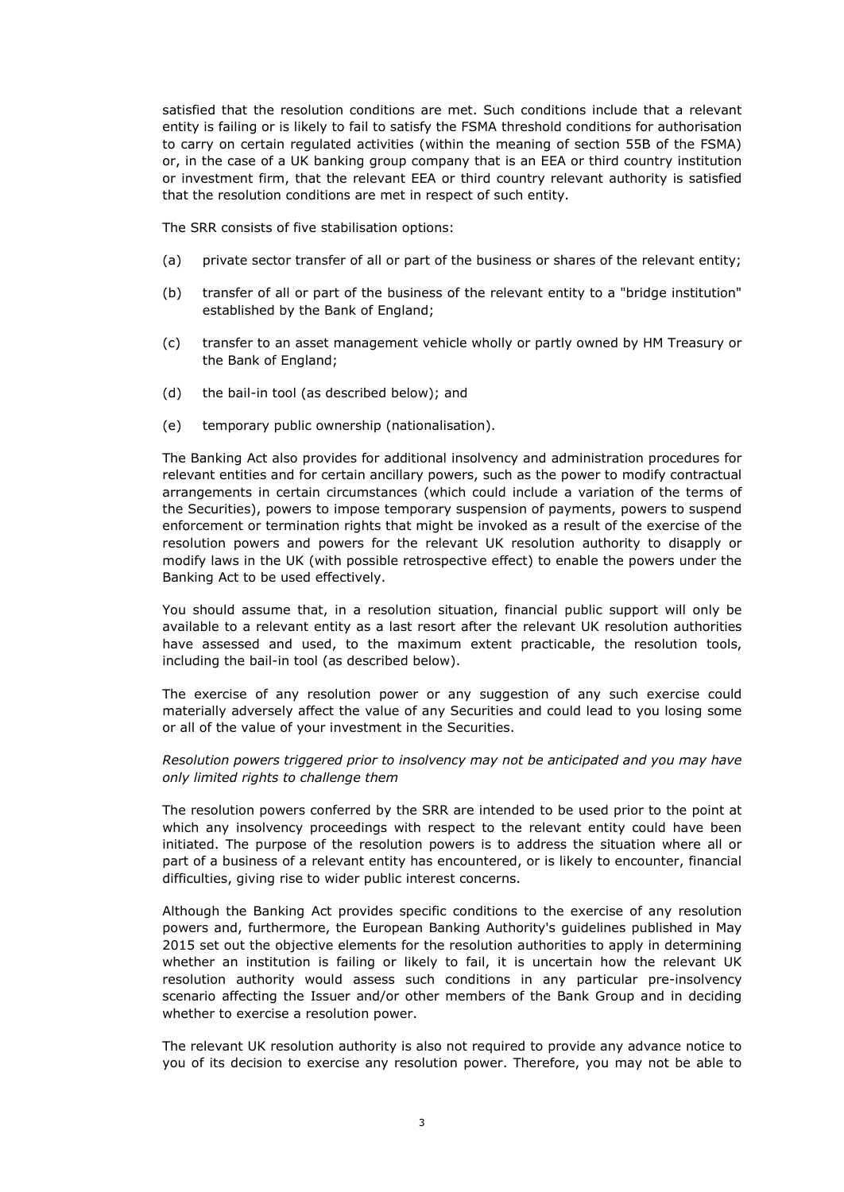satisfied that the resolution conditions are met. Such conditions include that a relevant entity is failing or is likely to fail to satisfy the FSMA threshold conditions for authorisation to carry on certain regulated activities (within the meaning of section 55B of the FSMA) or, in the case of a UK banking group company that is an EEA or third country institution or investment firm, that the relevant EEA or third country relevant authority is satisfied that the resolution conditions are met in respect of such entity.

The SRR consists of five stabilisation options:

- (a) private sector transfer of all or part of the business or shares of the relevant entity;
- (b) transfer of all or part of the business of the relevant entity to a "bridge institution" established by the Bank of England;
- (c) transfer to an asset management vehicle wholly or partly owned by HM Treasury or the Bank of England;
- (d) the bail-in tool (as described below); and
- (e) temporary public ownership (nationalisation).

The Banking Act also provides for additional insolvency and administration procedures for relevant entities and for certain ancillary powers, such as the power to modify contractual arrangements in certain circumstances (which could include a variation of the terms of the Securities), powers to impose temporary suspension of payments, powers to suspend enforcement or termination rights that might be invoked as a result of the exercise of the resolution powers and powers for the relevant UK resolution authority to disapply or modify laws in the UK (with possible retrospective effect) to enable the powers under the Banking Act to be used effectively.

You should assume that, in a resolution situation, financial public support will only be available to a relevant entity as a last resort after the relevant UK resolution authorities have assessed and used, to the maximum extent practicable, the resolution tools, including the bail-in tool (as described below).

The exercise of any resolution power or any suggestion of any such exercise could materially adversely affect the value of any Securities and could lead to you losing some or all of the value of your investment in the Securities.

## *Resolution powers triggered prior to insolvency may not be anticipated and you may have only limited rights to challenge them*

The resolution powers conferred by the SRR are intended to be used prior to the point at which any insolvency proceedings with respect to the relevant entity could have been initiated. The purpose of the resolution powers is to address the situation where all or part of a business of a relevant entity has encountered, or is likely to encounter, financial difficulties, giving rise to wider public interest concerns.

Although the Banking Act provides specific conditions to the exercise of any resolution powers and, furthermore, the European Banking Authority's guidelines published in May 2015 set out the objective elements for the resolution authorities to apply in determining whether an institution is failing or likely to fail, it is uncertain how the relevant UK resolution authority would assess such conditions in any particular pre-insolvency scenario affecting the Issuer and/or other members of the Bank Group and in deciding whether to exercise a resolution power.

The relevant UK resolution authority is also not required to provide any advance notice to you of its decision to exercise any resolution power. Therefore, you may not be able to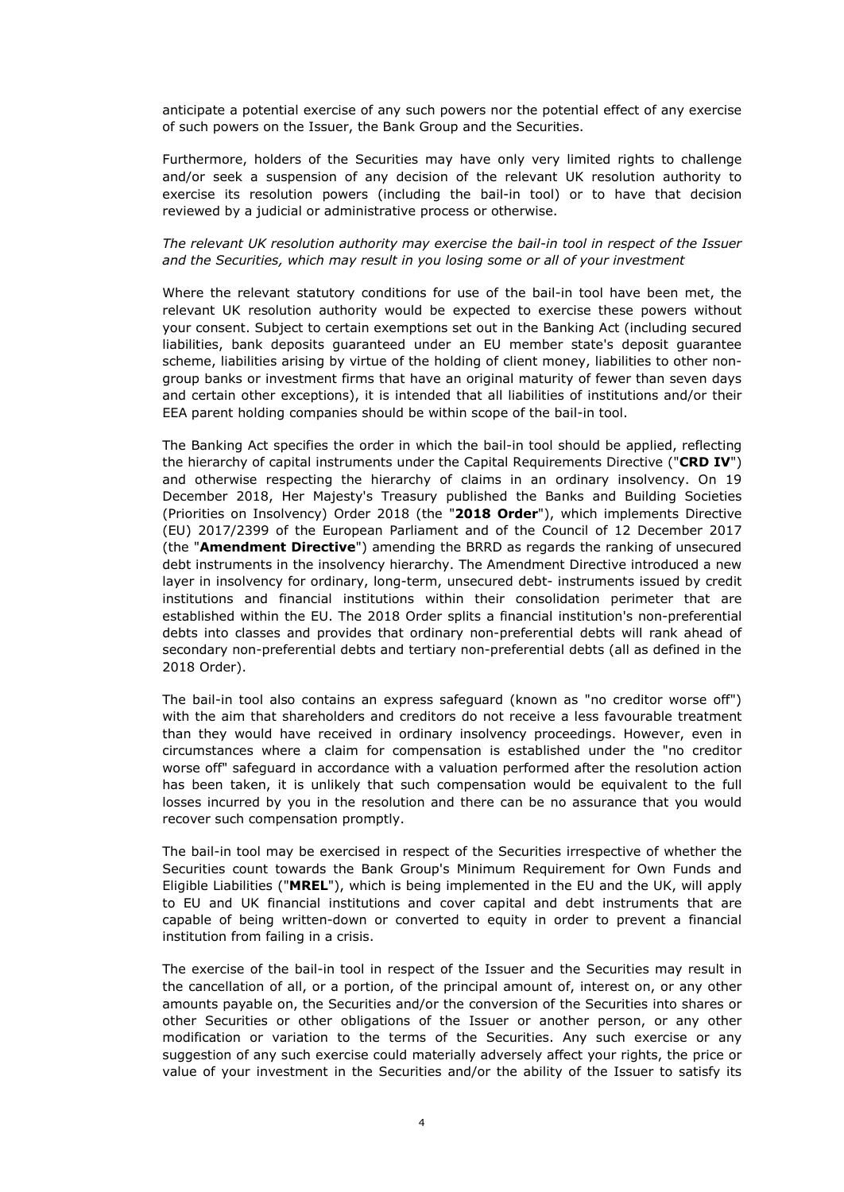anticipate a potential exercise of any such powers nor the potential effect of any exercise of such powers on the Issuer, the Bank Group and the Securities.

Furthermore, holders of the Securities may have only very limited rights to challenge and/or seek a suspension of any decision of the relevant UK resolution authority to exercise its resolution powers (including the bail-in tool) or to have that decision reviewed by a judicial or administrative process or otherwise.

*The relevant UK resolution authority may exercise the bail-in tool in respect of the Issuer and the Securities, which may result in you losing some or all of your investment* 

Where the relevant statutory conditions for use of the bail-in tool have been met, the relevant UK resolution authority would be expected to exercise these powers without your consent. Subject to certain exemptions set out in the Banking Act (including secured liabilities, bank deposits guaranteed under an EU member state's deposit guarantee scheme, liabilities arising by virtue of the holding of client money, liabilities to other nongroup banks or investment firms that have an original maturity of fewer than seven days and certain other exceptions), it is intended that all liabilities of institutions and/or their EEA parent holding companies should be within scope of the bail-in tool.

The Banking Act specifies the order in which the bail-in tool should be applied, reflecting the hierarchy of capital instruments under the Capital Requirements Directive ("**CRD IV**") and otherwise respecting the hierarchy of claims in an ordinary insolvency. On 19 December 2018, Her Majesty's Treasury published the Banks and Building Societies (Priorities on Insolvency) Order 2018 (the "**2018 Order**"), which implements Directive (EU) 2017/2399 of the European Parliament and of the Council of 12 December 2017 (the "**Amendment Directive**") amending the BRRD as regards the ranking of unsecured debt instruments in the insolvency hierarchy. The Amendment Directive introduced a new layer in insolvency for ordinary, long-term, unsecured debt- instruments issued by credit institutions and financial institutions within their consolidation perimeter that are established within the EU. The 2018 Order splits a financial institution's non-preferential debts into classes and provides that ordinary non-preferential debts will rank ahead of secondary non-preferential debts and tertiary non-preferential debts (all as defined in the 2018 Order).

The bail-in tool also contains an express safeguard (known as "no creditor worse off") with the aim that shareholders and creditors do not receive a less favourable treatment than they would have received in ordinary insolvency proceedings. However, even in circumstances where a claim for compensation is established under the "no creditor worse off" safeguard in accordance with a valuation performed after the resolution action has been taken, it is unlikely that such compensation would be equivalent to the full losses incurred by you in the resolution and there can be no assurance that you would recover such compensation promptly.

The bail-in tool may be exercised in respect of the Securities irrespective of whether the Securities count towards the Bank Group's Minimum Requirement for Own Funds and Eligible Liabilities ("**MREL**"), which is being implemented in the EU and the UK, will apply to EU and UK financial institutions and cover capital and debt instruments that are capable of being written-down or converted to equity in order to prevent a financial institution from failing in a crisis.

The exercise of the bail-in tool in respect of the Issuer and the Securities may result in the cancellation of all, or a portion, of the principal amount of, interest on, or any other amounts payable on, the Securities and/or the conversion of the Securities into shares or other Securities or other obligations of the Issuer or another person, or any other modification or variation to the terms of the Securities. Any such exercise or any suggestion of any such exercise could materially adversely affect your rights, the price or value of your investment in the Securities and/or the ability of the Issuer to satisfy its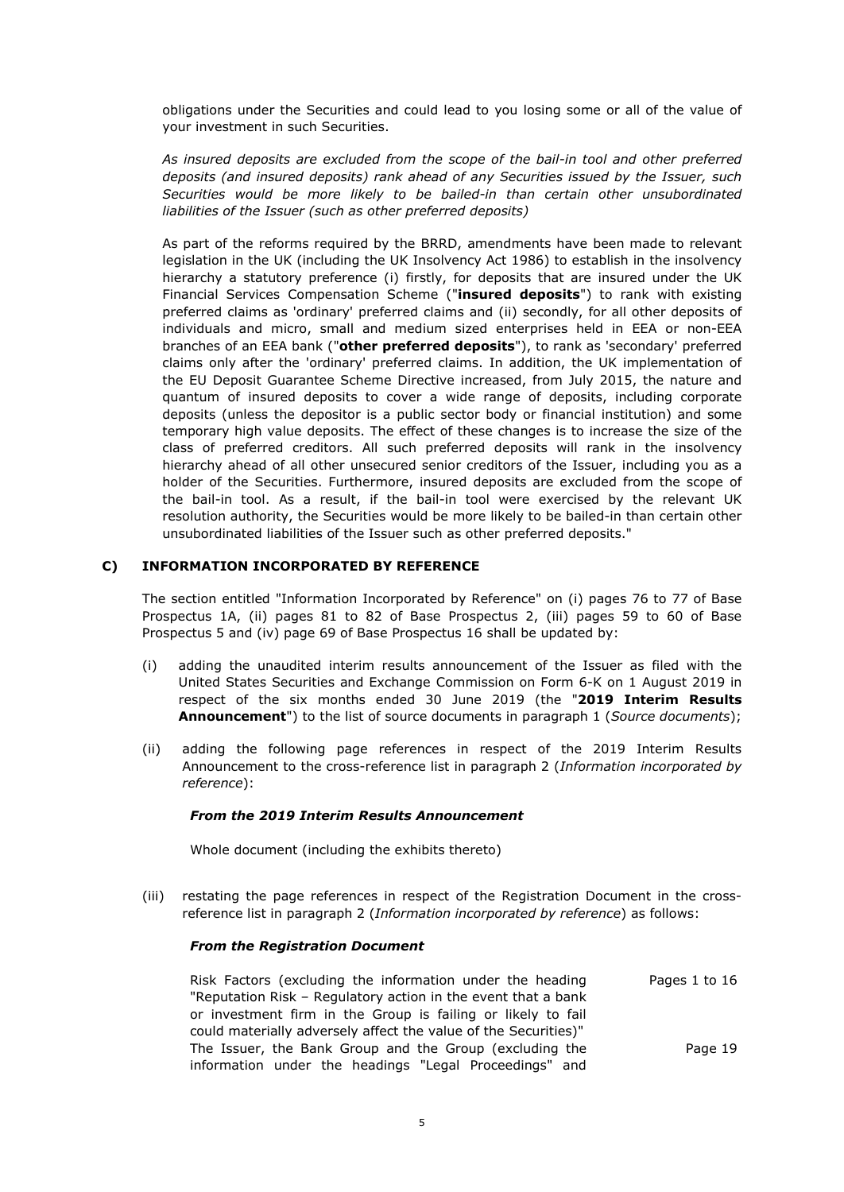obligations under the Securities and could lead to you losing some or all of the value of your investment in such Securities.

*As insured deposits are excluded from the scope of the bail-in tool and other preferred deposits (and insured deposits) rank ahead of any Securities issued by the Issuer, such Securities would be more likely to be bailed-in than certain other unsubordinated liabilities of the Issuer (such as other preferred deposits)* 

As part of the reforms required by the BRRD, amendments have been made to relevant legislation in the UK (including the UK Insolvency Act 1986) to establish in the insolvency hierarchy a statutory preference (i) firstly, for deposits that are insured under the UK Financial Services Compensation Scheme ("**insured deposits**") to rank with existing preferred claims as 'ordinary' preferred claims and (ii) secondly, for all other deposits of individuals and micro, small and medium sized enterprises held in EEA or non-EEA branches of an EEA bank ("**other preferred deposits**"), to rank as 'secondary' preferred claims only after the 'ordinary' preferred claims. In addition, the UK implementation of the EU Deposit Guarantee Scheme Directive increased, from July 2015, the nature and quantum of insured deposits to cover a wide range of deposits, including corporate deposits (unless the depositor is a public sector body or financial institution) and some temporary high value deposits. The effect of these changes is to increase the size of the class of preferred creditors. All such preferred deposits will rank in the insolvency hierarchy ahead of all other unsecured senior creditors of the Issuer, including you as a holder of the Securities. Furthermore, insured deposits are excluded from the scope of the bail-in tool. As a result, if the bail-in tool were exercised by the relevant UK resolution authority, the Securities would be more likely to be bailed-in than certain other unsubordinated liabilities of the Issuer such as other preferred deposits."

## **C) INFORMATION INCORPORATED BY REFERENCE**

The section entitled "Information Incorporated by Reference" on (i) pages 76 to 77 of Base Prospectus 1A, (ii) pages 81 to 82 of Base Prospectus 2, (iii) pages 59 to 60 of Base Prospectus 5 and (iv) page 69 of Base Prospectus 16 shall be updated by:

- (i) adding the unaudited interim results announcement of the Issuer as filed with the United States Securities and Exchange Commission on Form 6-K on 1 August 2019 in respect of the six months ended 30 June 2019 (the "**2019 Interim Results Announcement**") to the list of source documents in paragraph 1 (*Source documents*);
- (ii) adding the following page references in respect of the 2019 Interim Results Announcement to the cross-reference list in paragraph 2 (*Information incorporated by reference*):

## *From the 2019 Interim Results Announcement*

Whole document (including the exhibits thereto)

(iii) restating the page references in respect of the Registration Document in the crossreference list in paragraph 2 (*Information incorporated by reference*) as follows:

## *From the Registration Document*

Risk Factors (excluding the information under the heading "Reputation Risk – Regulatory action in the event that a bank or investment firm in the Group is failing or likely to fail could materially adversely affect the value of the Securities)" Pages 1 to 16 The Issuer, the Bank Group and the Group (excluding the information under the headings "Legal Proceedings" and Page 19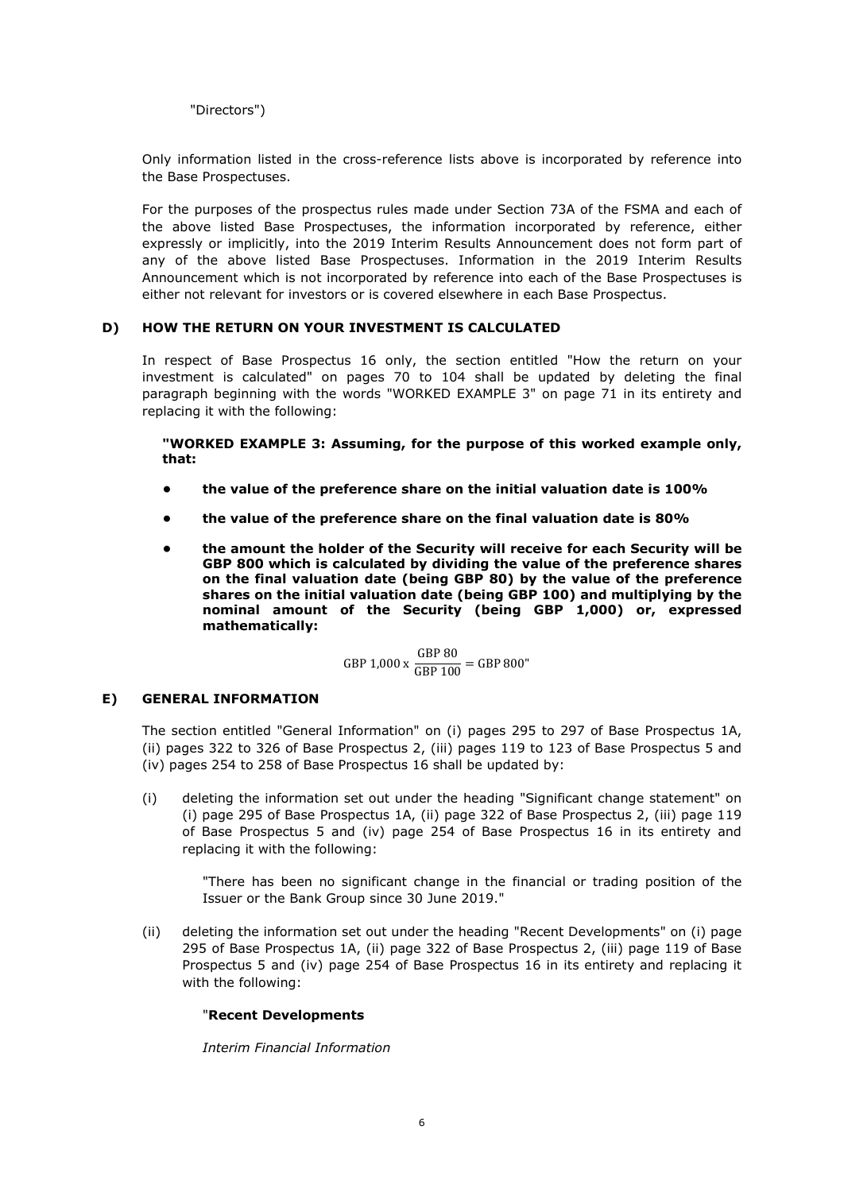"Directors")

Only information listed in the cross-reference lists above is incorporated by reference into the Base Prospectuses.

For the purposes of the prospectus rules made under Section 73A of the FSMA and each of the above listed Base Prospectuses, the information incorporated by reference, either expressly or implicitly, into the 2019 Interim Results Announcement does not form part of any of the above listed Base Prospectuses. Information in the 2019 Interim Results Announcement which is not incorporated by reference into each of the Base Prospectuses is either not relevant for investors or is covered elsewhere in each Base Prospectus.

## **D) HOW THE RETURN ON YOUR INVESTMENT IS CALCULATED**

In respect of Base Prospectus 16 only, the section entitled "How the return on your investment is calculated" on pages 70 to 104 shall be updated by deleting the final paragraph beginning with the words "WORKED EXAMPLE 3" on page 71 in its entirety and replacing it with the following:

**"WORKED EXAMPLE 3: Assuming, for the purpose of this worked example only, that:** 

- **the value of the preference share on the initial valuation date is 100%**
- **the value of the preference share on the final valuation date is 80%**
- **the amount the holder of the Security will receive for each Security will be GBP 800 which is calculated by dividing the value of the preference shares on the final valuation date (being GBP 80) by the value of the preference shares on the initial valuation date (being GBP 100) and multiplying by the nominal amount of the Security (being GBP 1,000) or, expressed mathematically:**

GBP 1,000 x  $\frac{\text{GBP 80}}{\text{GBP 100}}$  = GBP 800"

## **E) GENERAL INFORMATION**

The section entitled "General Information" on (i) pages 295 to 297 of Base Prospectus 1A, (ii) pages 322 to 326 of Base Prospectus 2, (iii) pages 119 to 123 of Base Prospectus 5 and (iv) pages 254 to 258 of Base Prospectus 16 shall be updated by:

(i) deleting the information set out under the heading "Significant change statement" on (i) page 295 of Base Prospectus 1A, (ii) page 322 of Base Prospectus 2, (iii) page 119 of Base Prospectus 5 and (iv) page 254 of Base Prospectus 16 in its entirety and replacing it with the following:

"There has been no significant change in the financial or trading position of the Issuer or the Bank Group since 30 June 2019."

(ii) deleting the information set out under the heading "Recent Developments" on (i) page 295 of Base Prospectus 1A, (ii) page 322 of Base Prospectus 2, (iii) page 119 of Base Prospectus 5 and (iv) page 254 of Base Prospectus 16 in its entirety and replacing it with the following:

## "**Recent Developments**

*Interim Financial Information*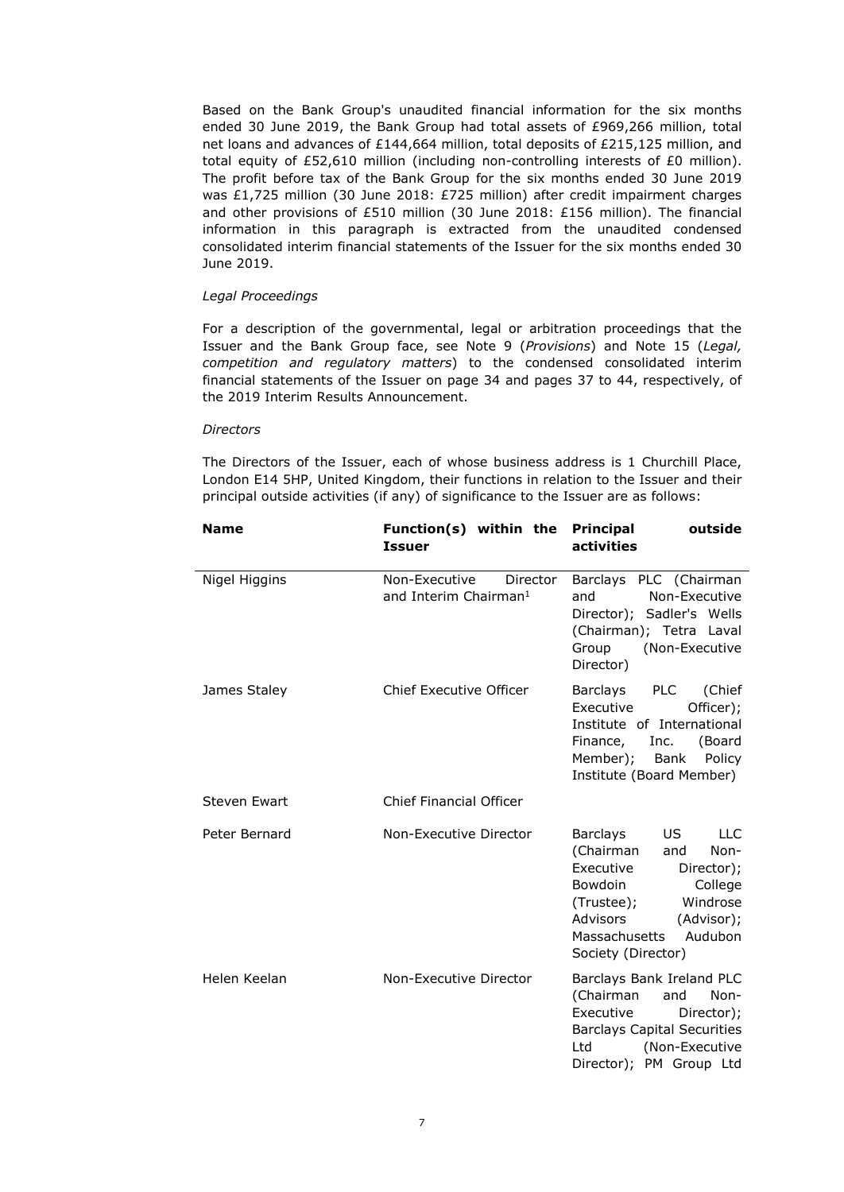Based on the Bank Group's unaudited financial information for the six months ended 30 June 2019, the Bank Group had total assets of £969,266 million, total net loans and advances of £144,664 million, total deposits of £215,125 million, and total equity of £52,610 million (including non-controlling interests of £0 million). The profit before tax of the Bank Group for the six months ended 30 June 2019 was £1,725 million (30 June 2018: £725 million) after credit impairment charges and other provisions of £510 million (30 June 2018: £156 million). The financial information in this paragraph is extracted from the unaudited condensed consolidated interim financial statements of the Issuer for the six months ended 30 June 2019.

#### *Legal Proceedings*

For a description of the governmental, legal or arbitration proceedings that the Issuer and the Bank Group face, see Note 9 (*Provisions*) and Note 15 (*Legal, competition and regulatory matters*) to the condensed consolidated interim financial statements of the Issuer on page 34 and pages 37 to 44, respectively, of the 2019 Interim Results Announcement.

#### *Directors*

The Directors of the Issuer, each of whose business address is 1 Churchill Place, London E14 5HP, United Kingdom, their functions in relation to the Issuer and their principal outside activities (if any) of significance to the Issuer are as follows:

| <b>Name</b>         | Function(s) within the Principal<br><b>Issuer</b>              | outside<br>activities                                                                                                                                                                                      |
|---------------------|----------------------------------------------------------------|------------------------------------------------------------------------------------------------------------------------------------------------------------------------------------------------------------|
| Nigel Higgins       | Non-Executive<br>Director<br>and Interim Chairman <sup>1</sup> | Barclays PLC (Chairman<br>Non-Executive<br>and<br>Director); Sadler's Wells<br>(Chairman); Tetra Laval<br>Group<br>(Non-Executive<br>Director)                                                             |
| James Staley        | <b>Chief Executive Officer</b>                                 | Barclays PLC<br>(Chief<br>Officer);<br>Executive<br>Institute of International<br>Finance, Inc. (Board<br>Member); Bank<br>Policy<br>Institute (Board Member)                                              |
| <b>Steven Ewart</b> | <b>Chief Financial Officer</b>                                 |                                                                                                                                                                                                            |
| Peter Bernard       | Non-Executive Director                                         | US -<br>LLC<br>Barclays<br>(Chairman<br>Non-<br>and<br>Executive<br>Director);<br>Bowdoin<br>College<br>Windrose<br>(Trustee);<br>Advisors<br>(Advisor);<br>Massachusetts<br>Audubon<br>Society (Director) |
| Helen Keelan        | Non-Executive Director                                         | Barclays Bank Ireland PLC<br>(Chairman<br>and<br>Non-<br>Executive<br>Director);<br><b>Barclays Capital Securities</b><br>(Non-Executive<br>Ltd<br>Director); PM Group Ltd                                 |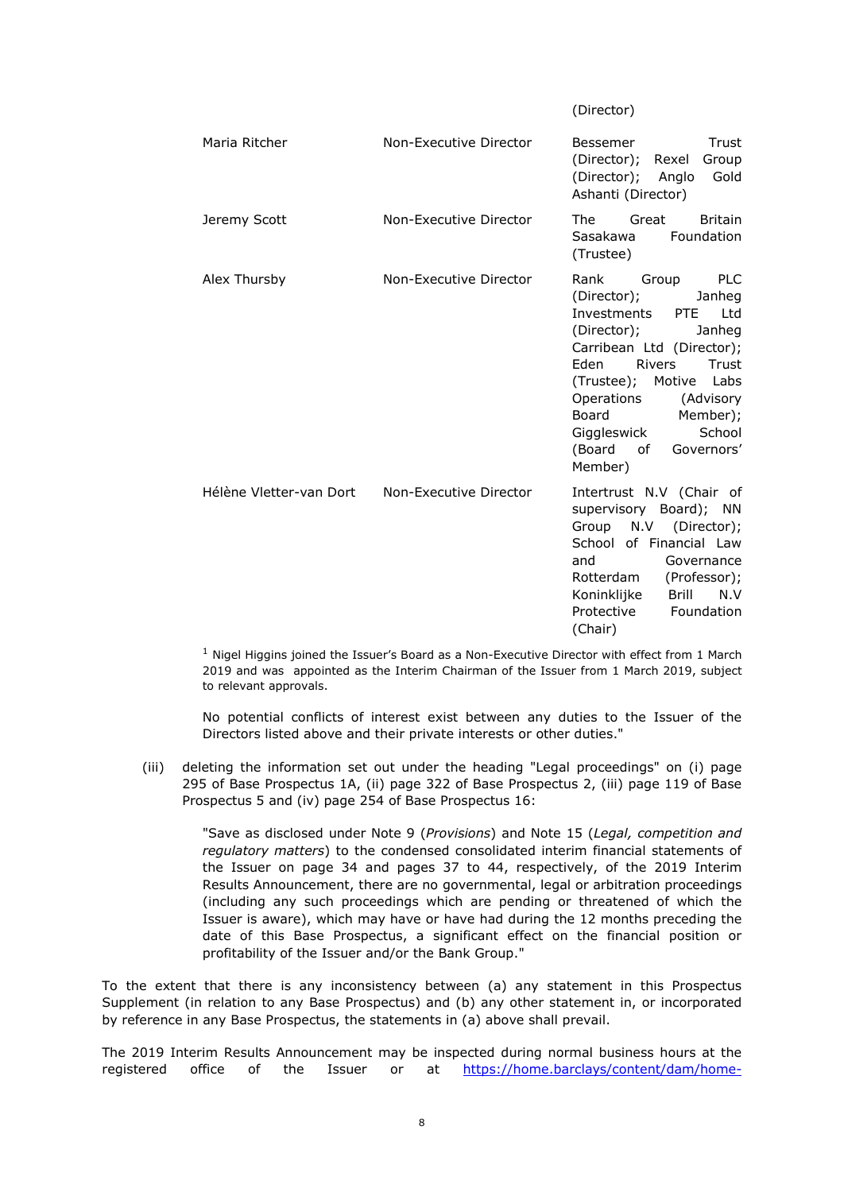(Director) Maria Ritcher **Non-Executive Director** Bessemer Trust (Director); Rexel Group (Director); Anglo Gold Ashanti (Director) Jeremy Scott Non-Executive Director The Great Britain Sasakawa Foundation (Trustee) Alex Thursby Non-Executive Director Rank Group PLC (Director); Janheg Investments PTE Ltd (Director); Janheg Carribean Ltd (Director); Eden Rivers Trust (Trustee); Motive Labs Operations (Advisory Board Member); Giggleswick School (Board of Governors' Member) Hélène Vletter-van Dort Non-Executive Director Intertrust N.V (Chair of supervisory Board); NN Group N.V (Director); School of Financial Law and Governance Rotterdam (Professor); Koninklijke Brill N.V Protective Foundation (Chair)

 $1$  Nigel Higgins joined the Issuer's Board as a Non-Executive Director with effect from 1 March 2019 and was appointed as the Interim Chairman of the Issuer from 1 March 2019, subject to relevant approvals.

No potential conflicts of interest exist between any duties to the Issuer of the Directors listed above and their private interests or other duties."

(iii) deleting the information set out under the heading "Legal proceedings" on (i) page 295 of Base Prospectus 1A, (ii) page 322 of Base Prospectus 2, (iii) page 119 of Base Prospectus 5 and (iv) page 254 of Base Prospectus 16:

"Save as disclosed under Note 9 (*Provisions*) and Note 15 (*Legal, competition and regulatory matters*) to the condensed consolidated interim financial statements of the Issuer on page 34 and pages 37 to 44, respectively, of the 2019 Interim Results Announcement, there are no governmental, legal or arbitration proceedings (including any such proceedings which are pending or threatened of which the Issuer is aware), which may have or have had during the 12 months preceding the date of this Base Prospectus, a significant effect on the financial position or profitability of the Issuer and/or the Bank Group."

To the extent that there is any inconsistency between (a) any statement in this Prospectus Supplement (in relation to any Base Prospectus) and (b) any other statement in, or incorporated by reference in any Base Prospectus, the statements in (a) above shall prevail.

The 2019 Interim Results Announcement may be inspected during normal business hours at the registered office of the Issuer or at https://home.barclays/content/dam/home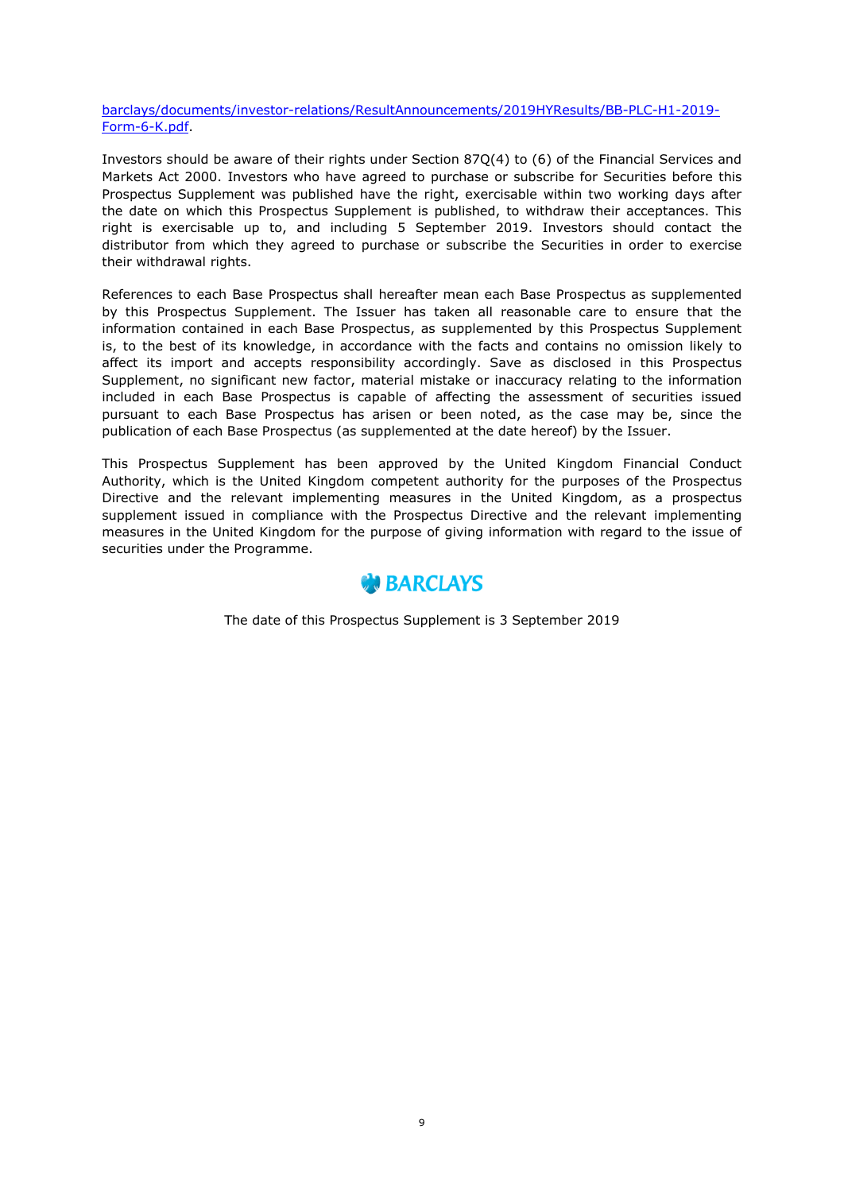barclays/documents/investor-relations/ResultAnnouncements/2019HYResults/BB-PLC-H1-2019- Form-6-K.pdf.

Investors should be aware of their rights under Section 87Q(4) to (6) of the Financial Services and Markets Act 2000. Investors who have agreed to purchase or subscribe for Securities before this Prospectus Supplement was published have the right, exercisable within two working days after the date on which this Prospectus Supplement is published, to withdraw their acceptances. This right is exercisable up to, and including 5 September 2019. Investors should contact the distributor from which they agreed to purchase or subscribe the Securities in order to exercise their withdrawal rights.

References to each Base Prospectus shall hereafter mean each Base Prospectus as supplemented by this Prospectus Supplement. The Issuer has taken all reasonable care to ensure that the information contained in each Base Prospectus, as supplemented by this Prospectus Supplement is, to the best of its knowledge, in accordance with the facts and contains no omission likely to affect its import and accepts responsibility accordingly. Save as disclosed in this Prospectus Supplement, no significant new factor, material mistake or inaccuracy relating to the information included in each Base Prospectus is capable of affecting the assessment of securities issued pursuant to each Base Prospectus has arisen or been noted, as the case may be, since the publication of each Base Prospectus (as supplemented at the date hereof) by the Issuer.

This Prospectus Supplement has been approved by the United Kingdom Financial Conduct Authority, which is the United Kingdom competent authority for the purposes of the Prospectus Directive and the relevant implementing measures in the United Kingdom, as a prospectus supplement issued in compliance with the Prospectus Directive and the relevant implementing measures in the United Kingdom for the purpose of giving information with regard to the issue of securities under the Programme.



The date of this Prospectus Supplement is 3 September 2019